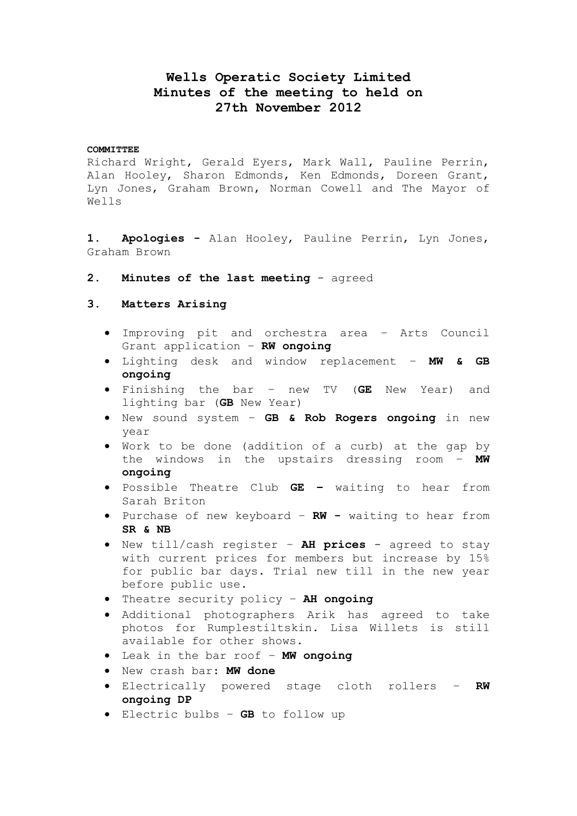# **Wells Operatic Society Limited Minutes of the meeting to held on 27th November 2012**

#### **COMMITTEE**

Richard Wright, Gerald Eyers, Mark Wall, Pauline Perrin, Alan Hooley, Sharon Edmonds, Ken Edmonds, Doreen Grant, Lyn Jones, Graham Brown, Norman Cowell and The Mayor of Wells

**1. Apologies -** Alan Hooley, Pauline Perrin, Lyn Jones, Graham Brown

**2. Minutes of the last meeting** - agreed

### **3. Matters Arising**

- Improving pit and orchestra area Arts Council Grant application – **RW ongoing**
- Lighting desk and window replacement **MW & GB ongoing**
- Finishing the bar new TV (**GE** New Year) and lighting bar (**GB** New Year)
- New sound system **GB & Rob Rogers ongoing** in new year
- Work to be done (addition of a curb) at the gap by the windows in the upstairs dressing room – **MW ongoing**
- Possible Theatre Club **GE –** waiting to hear from Sarah Briton
- Purchase of new keyboard **RW -** waiting to hear from **SR & NB**
- New till/cash register **AH prices** agreed to stay with current prices for members but increase by 15% for public bar days. Trial new till in the new year before public use.
- Theatre security policy **AH ongoing**
- Additional photographers Arik has agreed to take photos for Rumplestiltskin. Lisa Willets is still available for other shows.
- Leak in the bar roof **MW ongoing**
- New crash bar: **MW done**
- Electrically powered stage cloth rollers **RW ongoing DP**
- Electric bulbs **GB** to follow up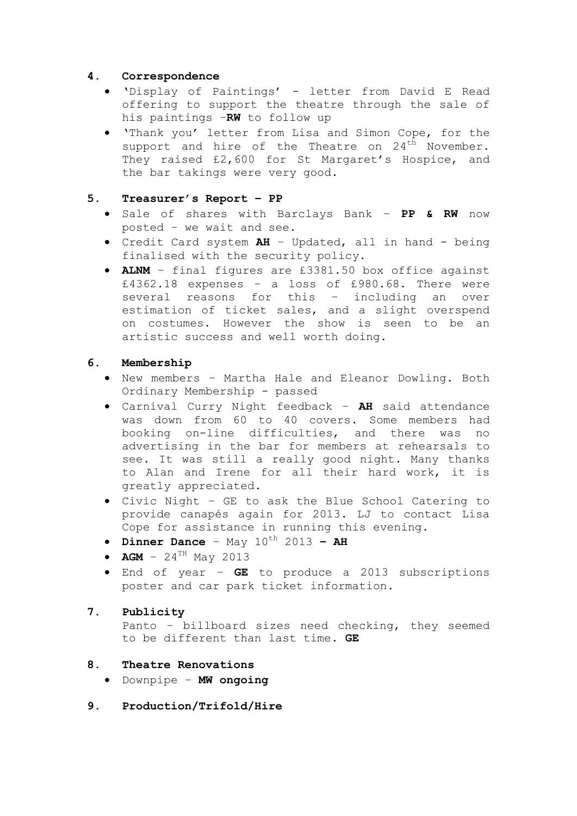# **4. Correspondence**

- 'Display of Paintings' letter from David E Read offering to support the theatre through the sale of his paintings –**RW** to follow up
- 'Thank you' letter from Lisa and Simon Cope, for the support and hire of the Theatre on  $24<sup>th</sup>$  November. They raised £2,600 for St Margaret's Hospice, and the bar takings were very good.

# **5. Treasurer's Report – PP**

- Sale of shares with Barclays Bank **PP & RW** now posted – we wait and see.
- Credit Card system **AH** Updated, all in hand being finalised with the security policy.
- **ALNM**  final figures are £3381.50 box office against £4362.18 expenses – a loss of £980.68. There were several reasons for this – including an over estimation of ticket sales, and a slight overspend on costumes. However the show is seen to be an artistic success and well worth doing.

# **6. Membership**

- New members Martha Hale and Eleanor Dowling. Both Ordinary Membership - passed
- Carnival Curry Night feedback **AH** said attendance was down from 60 to 40 covers. Some members had booking on-line difficulties, and there was no advertising in the bar for members at rehearsals to see. It was still a really good night. Many thanks to Alan and Irene for all their hard work, it is greatly appreciated.
- Civic Night GE to ask the Blue School Catering to provide canapés again for 2013. LJ to contact Lisa Cope for assistance in running this evening.
- $\bullet$  **Dinner Dance** May  $10^{th}$  2013 AH
- $AGM 24^{TH}$  May 2013
- End of year **GE** to produce a 2013 subscriptions poster and car park ticket information.

# **7. Publicity**

Panto – billboard sizes need checking, they seemed to be different than last time. **GE**

### **8. Theatre Renovations**

- Downpipe **MW ongoing**
- **9. Production/Trifold/Hire**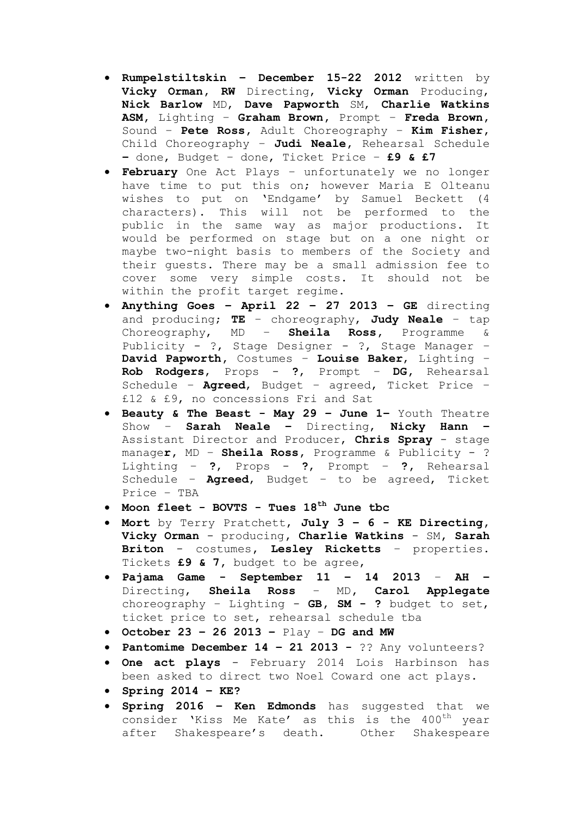- **Rumpelstiltskin – December 15-22 2012** written by **Vicky Orman, RW** Directing, **Vicky Orman** Producing, **Nick Barlow** MD, **Dave Papworth** SM, **Charlie Watkins ASM,** Lighting – **Graham Brown,** Prompt – **Freda Brown,**  Sound – **Pete Ross,** Adult Choreography – **Kim Fisher,**  Child Choreography – **Judi Neale,** Rehearsal Schedule **–** done, Budget – done, Ticket Price – **£9 & £7**
- **February** One Act Plays unfortunately we no longer have time to put this on; however Maria E Olteanu wishes to put on 'Endgame' by Samuel Beckett (4 characters). This will not be performed to the public in the same way as major productions. It would be performed on stage but on a one night or maybe two-night basis to members of the Society and their guests. There may be a small admission fee to cover some very simple costs. It should not be within the profit target regime.
- **Anything Goes – April 22 – 27 2013 – GE** directing and producing; **TE** – choreography, **Judy Neale** – tap Choreography, MD – **Sheila Ross,** Programme & Publicity - ?, Stage Designer - ?, Stage Manager – **David Papworth,** Costumes – **Louise Baker**, Lighting – **Rob Rodgers**, Props - **?**, Prompt – **DG,** Rehearsal Schedule – **Agreed**, Budget – agreed, Ticket Price – £12 & £9, no concessions Fri and Sat
- **Beauty & The Beast - May 29 – June 1–** Youth Theatre Show – **Sarah Neale –** Directing, **Nicky Hann –** Assistant Director and Producer, **Chris Spray** - stage manage**r,** MD – **Sheila Ross,** Programme & Publicity - ? Lighting – **?**, Props - **?**, Prompt – **?,** Rehearsal Schedule – **Agreed**, Budget – to be agreed, Ticket Price – TBA
- **Moon fleet - BOVTS - Tues 18th June tbc**
- **Mort** by Terry Pratchett, **July 3 – 6 - KE Directing, Vicky Orman** - producing**, Charlie Watkins** - SM**, Sarah Briton** - costumes**, Lesley Ricketts** – properties. Tickets **£9 & 7,** budget to be agree,
- **Pajama Game - September 11 – 14 2013 AH –** Directing, **Sheila Ross** – MD**, Carol Applegate**  choreography – Lighting - **GB, SM - ?** budget to set, ticket price to set, rehearsal schedule tba
- **October 23 – 26 2013 –** Play **DG and MW**
- **Pantomime December 14 – 21 2013 -** ?? Any volunteers?
- **One act plays** February 2014 Lois Harbinson has been asked to direct two Noel Coward one act plays.
- **Spring 2014 – KE?**
- **Spring 2016 – Ken Edmonds** has suggested that we consider 'Kiss Me Kate' as this is the 400<sup>th</sup> year after Shakespeare's death. Other Shakespeare